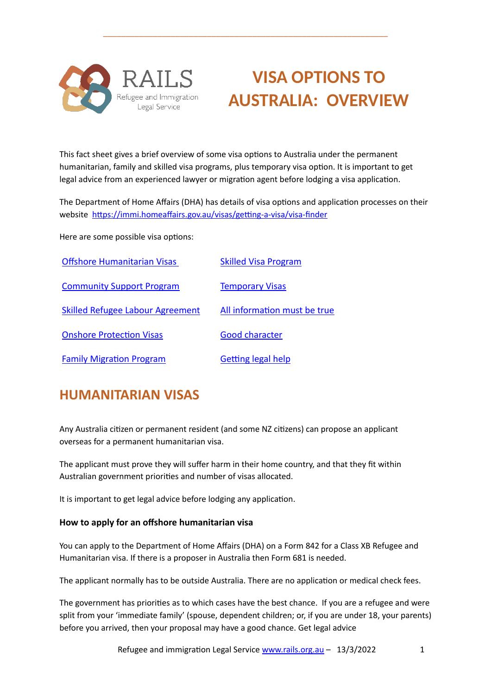

# **VISA OPTIONS TO AUSTRALIA: OVERVIEW**

This fact sheet gives a brief overview of some visa options to Australia under the permanent humanitarian, family and skilled visa programs, plus temporary visa option. It is important to get legal advice from an experienced lawyer or migration agent before lodging a visa application.

\_\_\_\_\_\_\_\_\_\_\_\_\_\_\_\_\_\_\_\_\_\_\_\_\_\_\_\_\_\_\_\_\_\_\_\_\_\_\_\_\_\_\_\_\_\_\_\_\_\_\_\_\_\_\_\_\_\_\_\_\_\_\_

The Department of Home Affairs (DHA) has details of visa options and application processes on their website https://immi.homeaffairs.gov.au/visas/getting-a-visa/visa-finder

Here are some possible visa options:

| <b>Offshore Humanitarian Visas</b>      | <b>Skilled Visa Program</b>  |
|-----------------------------------------|------------------------------|
| <b>Community Support Program</b>        | <b>Temporary Visas</b>       |
| <b>Skilled Refugee Labour Agreement</b> | All information must be true |
| <b>Onshore Protection Visas</b>         | <b>Good character</b>        |
| <b>Family Migration Program</b>         | <b>Getting legal help</b>    |

## <span id="page-0-0"></span>**HUMANITARIAN VISAS**

Any Australia citizen or permanent resident (and some NZ citizens) can propose an applicant overseas for a permanent humanitarian visa.

The applicant must prove they will suffer harm in their home country, and that they fit within Australian government priorities and number of visas allocated.

It is important to get legal advice before lodging any application.

#### **How to apply for an offshore humanitarian visa**

You can apply to the Department of Home Affairs (DHA) on a Form 842 for a Class XB Refugee and Humanitarian visa. If there is a proposer in Australia then Form 681 is needed.

The applicant normally has to be outside Australia. There are no application or medical check fees.

The government has priorities as to which cases have the best chance. If you are a refugee and were split from your 'immediate family' (spouse, dependent children; or, if you are under 18, your parents) before you arrived, then your proposal may have a good chance. Get legal advice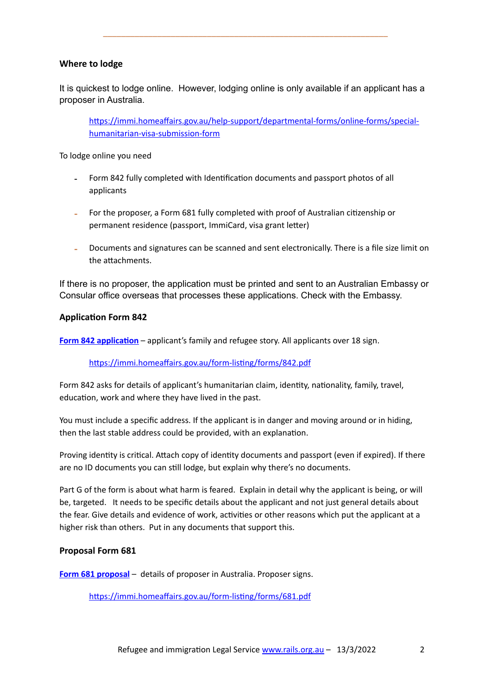#### **Where to lodge**

It is quickest to lodge online. However, lodging online is only available if an applicant has a proposer in Australia.

\_\_\_\_\_\_\_\_\_\_\_\_\_\_\_\_\_\_\_\_\_\_\_\_\_\_\_\_\_\_\_\_\_\_\_\_\_\_\_\_\_\_\_\_\_\_\_\_\_\_\_\_\_\_\_\_\_\_\_\_\_\_\_

https://immi.homeaffairs.gov.au/help-support/departmental-forms/online-forms/special[humanitarian-visa-submission-form](https://immi.homeaffairs.gov.au/help-support/departmental-forms/online-forms/special-humanitarian-visa-submission-form)

To lodge online you need

- Form 842 fully completed with Identification documents and passport photos of all applicants
- For the proposer, a Form 681 fully completed with proof of Australian citizenship or permanent residence (passport, ImmiCard, visa grant letter)
- Documents and signatures can be scanned and sent electronically. There is a file size limit on the attachments

If there is no proposer, the application must be printed and sent to an Australian Embassy or Consular office overseas that processes these applications. Check with the Embassy.

#### **Application Form 842**

Form 842 application – applicant's family and refugee story. All applicants over 18 sign.

https://immi.homeaffairs.gov.au/form-listing/forms/842.pdf

Form 842 asks for details of applicant's humanitarian claim, identity, nationality, family, travel, education, work and where they have lived in the past.

You must include a specific address. If the applicant is in danger and moving around or in hiding, then the last stable address could be provided, with an explanation.

Proving identity is critical. Attach copy of identity documents and passport (even if expired). If there are no ID documents you can still lodge, but explain why there's no documents.

Part G of the form is about what harm is feared. Explain in detail why the applicant is being, or will be, targeted. It needs to be specific details about the applicant and not just general details about the fear. Give details and evidence of work, activities or other reasons which put the applicant at a higher risk than others. Put in any documents that support this.

#### **Proposal Form 681**

**[Form 681](https://immi.homeaffairs.gov.au/form-listing/forms/681.pdf) proposal** – details of proposer in Australia. Proposer signs.

https://immi.homeaffairs.gov.au/form-listing/forms/681.pdf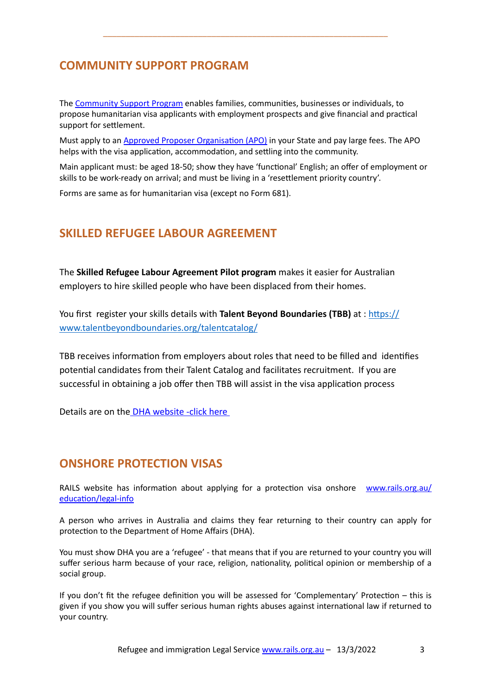## <span id="page-2-0"></span>**COMMUNITY SUPPORT PROGRAM**

The [Community Support Program](https://immi.homeaffairs.gov.au/what-we-do/refugee-and-humanitarian-program/community-support-program) enables families, communities, businesses or individuals, to propose humanitarian visa applicants with employment prospects and give financial and practical support for settlement.

\_\_\_\_\_\_\_\_\_\_\_\_\_\_\_\_\_\_\_\_\_\_\_\_\_\_\_\_\_\_\_\_\_\_\_\_\_\_\_\_\_\_\_\_\_\_\_\_\_\_\_\_\_\_\_\_\_\_\_\_\_\_\_

Must apply to an Approved Proposer Organisation (APO) in your State and pay large fees. The APO helps with the visa application, accommodation, and settling into the community.

Main applicant must: be aged 18-50; show they have 'functional' English; an offer of employment or skills to be work-ready on arrival; and must be living in a 'resettlement priority country'.

Forms are same as for humanitarian visa (except no Form 681).

## <span id="page-2-1"></span>**SKILLED REFUGEE LABOUR AGREEMENT**

The **Skilled Refugee Labour Agreement Pilot program** makes it easier for Australian employers to hire skilled people who have been displaced from their homes.

You first register your skills details with **Talent Beyond Boundaries (TBB)** at : https:// [www.talentbeyondboundaries.org/talentcatalog/](https://www.talentbeyondboundaries.org/talentcatalog/)

TBB receives information from employers about roles that need to be filled and identifies potential candidates from their Talent Catalog and facilitates recruitment. If you are successful in obtaining a job offer then TBB will assist in the visa application process

Details are on the [DHA website -click here](https://immi.homeaffairs.gov.au/what-we-do/skilled-migration-program/recent-changes/skilled-refugee-labour-agreement-pilot-program) 

#### <span id="page-2-2"></span>**ONSHORE PROTECTION VISAS**

RAILS website has information about applying for a protection visa onshore [www.rails.org.au/](https://www.rails.org.au/education/legal-info) education/legal-info

A person who arrives in Australia and claims they fear returning to their country can apply for protection to the Department of Home Affairs (DHA).

You must show DHA you are a 'refugee' - that means that if you are returned to your country you will suffer serious harm because of your race, religion, nationality, political opinion or membership of a social group.

If you don't fit the refugee definition you will be assessed for 'Complementary' Protection – this is given if you show you will suffer serious human rights abuses against international law if returned to your country.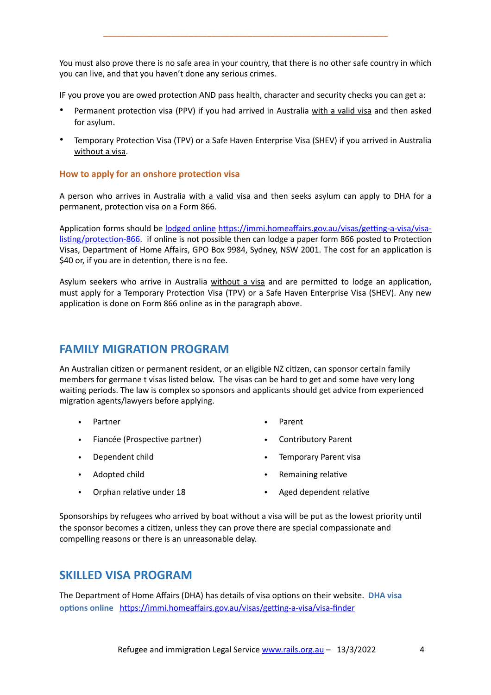You must also prove there is no safe area in your country, that there is no other safe country in which you can live, and that you haven't done any serious crimes.

\_\_\_\_\_\_\_\_\_\_\_\_\_\_\_\_\_\_\_\_\_\_\_\_\_\_\_\_\_\_\_\_\_\_\_\_\_\_\_\_\_\_\_\_\_\_\_\_\_\_\_\_\_\_\_\_\_\_\_\_\_\_\_

IF you prove you are owed protection AND pass health, character and security checks you can get a:

- Permanent protection visa (PPV) if you had arrived in Australia with a valid visa and then asked for asylum.
- Temporary Protection Visa (TPV) or a Safe Haven Enterprise Visa (SHEV) if you arrived in Australia without a visa.

#### **How to apply for an onshore protection visa**

A person who arrives in Australia with a valid visa and then seeks asylum can apply to DHA for a permanent, protection visa on a Form 866.

Application forms should be <u>[lodged online](https://immi.homeaffairs.gov.au/visas/getting-a-visa/visa-listing/protection-866) https://immi.homeaffairs.gov.au/visas/getting-a-visa/visa-</u> listing/protection-866. if online is not possible then can lodge a paper form 866 posted to Protection Visas, Department of Home Affairs, GPO Box 9984, Sydney, NSW 2001. The cost for an application is \$40 or, if you are in detention, there is no fee.

Asylum seekers who arrive in Australia without a visa and are permitted to lodge an application, must apply for a Temporary Protection Visa (TPV) or a Safe Haven Enterprise Visa (SHEV). Any new application is done on Form 866 online as in the paragraph above.

#### <span id="page-3-0"></span>**FAMILY MIGRATION PROGRAM**

An Australian citizen or permanent resident, or an eligible NZ citizen, can sponsor certain family members for germane t visas listed below. The visas can be hard to get and some have very long waiting periods. The law is complex so sponsors and applicants should get advice from experienced migration agents/lawyers before applying.

- Partner
- Fiancée (Prospective partner)
- Dependent child
- Adopted child
- Parent
- Contributory Parent
- Temporary Parent visa
- Remaining relative

Orphan relative under 18

Aged dependent relative

Sponsorships by refugees who arrived by boat without a visa will be put as the lowest priority until the sponsor becomes a citizen, unless they can prove there are special compassionate and compelling reasons or there is an unreasonable delay.

#### <span id="page-3-1"></span>**SKILLED VISA PROGRAM**

The Department of Home Affairs (DHA) has details of visa options on their website. DHA visa **options online** https://immi.homeaffairs.gov.au/visas/getting-a-visa/visa-finder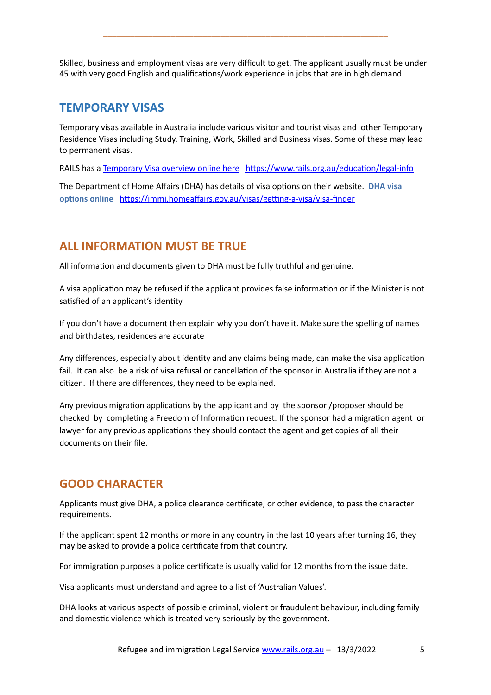Skilled, business and employment visas are very difficult to get. The applicant usually must be under 45 with very good English and qualifications/work experience in jobs that are in high demand.

\_\_\_\_\_\_\_\_\_\_\_\_\_\_\_\_\_\_\_\_\_\_\_\_\_\_\_\_\_\_\_\_\_\_\_\_\_\_\_\_\_\_\_\_\_\_\_\_\_\_\_\_\_\_\_\_\_\_\_\_\_\_\_

#### <span id="page-4-0"></span>**TEMPORARY VISAS**

Temporary visas available in Australia include various visitor and tourist visas and other Temporary Residence Visas including Study, Training, Work, Skilled and Business visas. Some of these may lead to permanent visas.

RAILS has a [Temporary Visa overview online here](https://www.rails.org.au/sites/default/files/2022-03/20220304%20Temporary%20Visas-Final%20.pdf) https://www.rails.org.au/education/legal-info

The Department of Home Affairs (DHA) has details of visa options on their website. DHA visa **options online https://immi.homeaffairs.gov.au/visas/getting-a-visa/visa-finder** 

## <span id="page-4-1"></span>**ALL INFORMATION MUST BE TRUE**

All information and documents given to DHA must be fully truthful and genuine.

A visa application may be refused if the applicant provides false information or if the Minister is not satisfied of an applicant's identity

If you don't have a document then explain why you don't have it. Make sure the spelling of names and birthdates, residences are accurate

Any differences, especially about identity and any claims being made, can make the visa application fail. It can also be a risk of visa refusal or cancellation of the sponsor in Australia if they are not a citizen. If there are differences, they need to be explained.

Any previous migration applications by the applicant and by the sponsor /proposer should be checked by completing a Freedom of Information request. If the sponsor had a migration agent or lawyer for any previous applications they should contact the agent and get copies of all their documents on their file.

## <span id="page-4-2"></span>**GOOD CHARACTER**

Applicants must give DHA, a police clearance certificate, or other evidence, to pass the character requirements.

If the applicant spent 12 months or more in any country in the last 10 years after turning 16, they may be asked to provide a police certificate from that country.

For immigration purposes a police certificate is usually valid for 12 months from the issue date.

Visa applicants must understand and agree to a list of 'Australian Values'.

DHA looks at various aspects of possible criminal, violent or fraudulent behaviour, including family and domestic violence which is treated very seriously by the government.